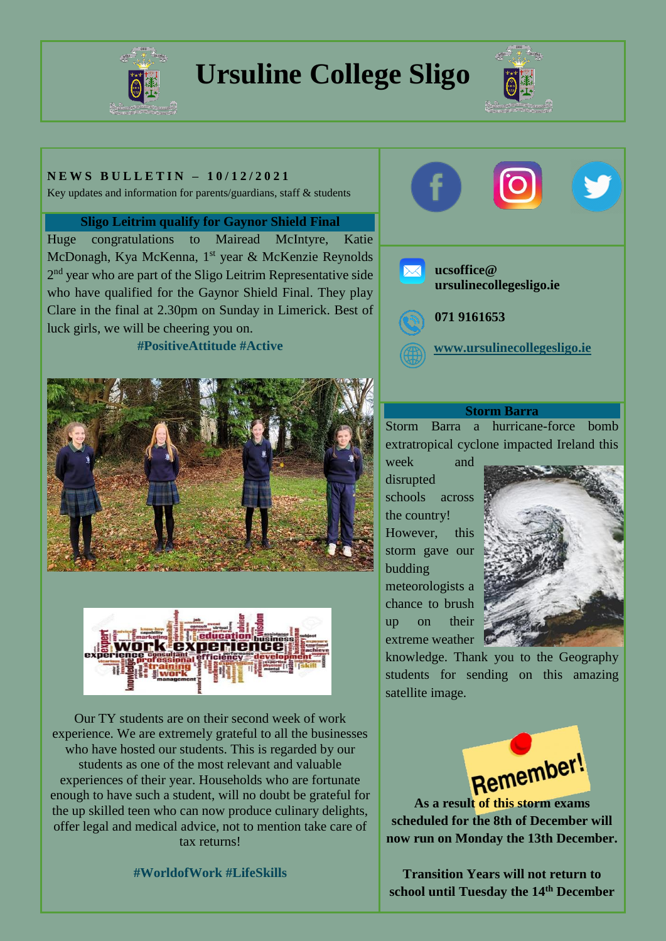

# **Ursuline College Sligo**



## **N E W S B U L L E T I N – 1 0 / 1 2 / 2 0 2 1**

Key updates and information for parents/guardians, staff & students

#### **Sligo Leitrim qualify for Gaynor Shield Final**

Huge congratulations to Mairead McIntyre, Katie McDonagh, Kya McKenna, 1<sup>st</sup> year & McKenzie Reynolds 2<sup>nd</sup> year who are part of the Sligo Leitrim Representative side who have qualified for the Gaynor Shield Final. They play Clare in the final at 2.30pm on Sunday in Limerick. Best of luck girls, we will be cheering you on.

# **#PositiveAttitude #Active**





Our TY students are on their second week of work experience. We are extremely grateful to all the businesses who have hosted our students. This is regarded by our students as one of the most relevant and valuable experiences of their year. Households who are fortunate enough to have such a student, will no doubt be grateful for the up skilled teen who can now produce culinary delights, offer legal and medical advice, not to mention take care of tax returns!

## **#WorldofWork #LifeSkills**



- **ucsoffice@ ursulinecollegesligo.ie**
	- **071 9161653**

**[www.ursulinecollegesligo.ie](http://www.ursulinecollegesligo.ie/)**

#### **Storm Barra**

Storm Barra a hurricane-force bomb extratropical cyclone impacted Ireland this

week and disrupted schools across the country! However, this storm gave our budding meteorologists a chance to brush up on their extreme weather



knowledge. Thank you to the Geography students for sending on this amazing satellite image.



**scheduled for the 8th of December will now run on Monday the 13th December.**

**Transition Years will not return to school until Tuesday the 14th December**